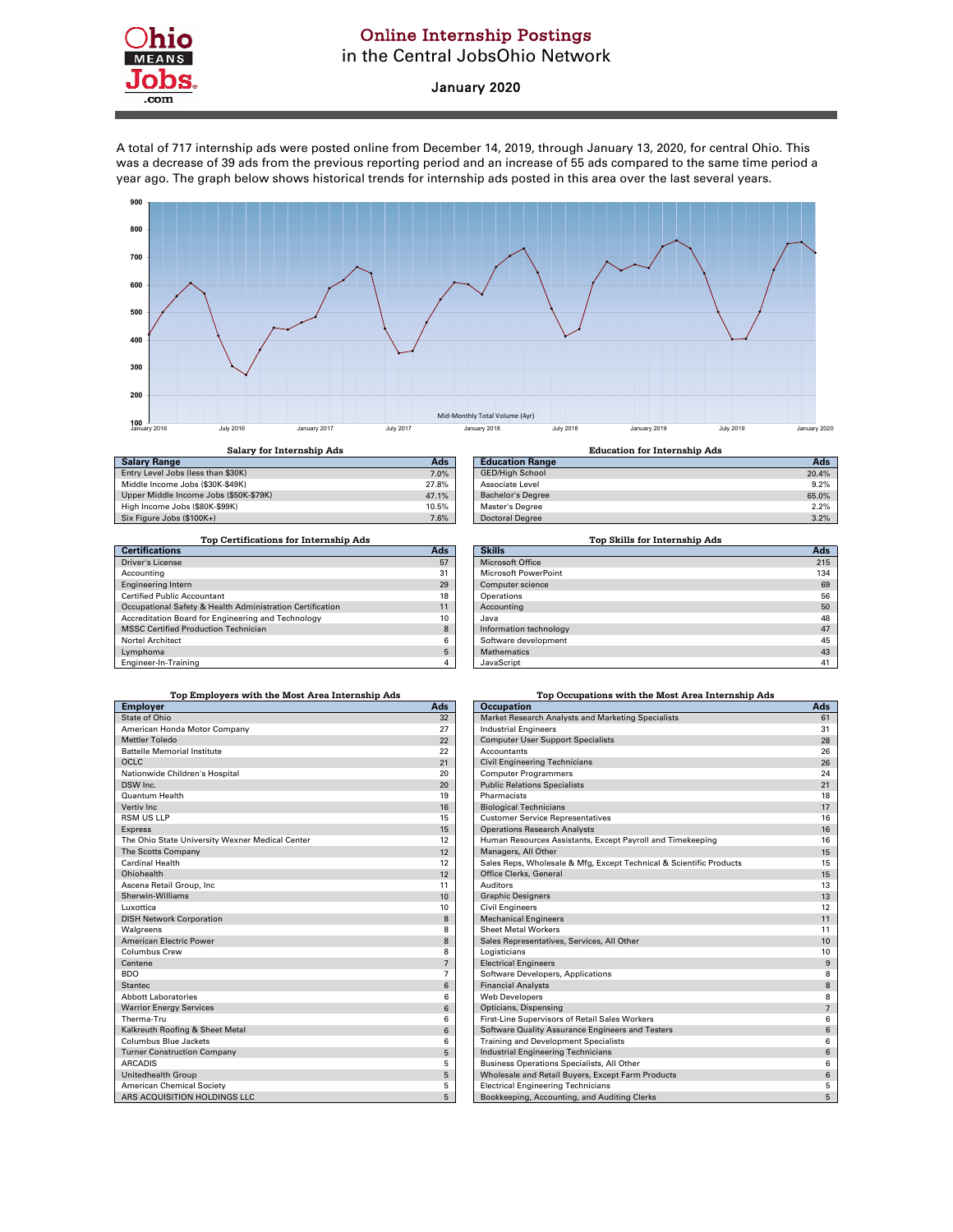

## Online Internship Postings in the Central JobsOhio Network

## January 2020

A total of 717 internship ads were posted online from December 14, 2019, through January 13, 2020, for central Ohio. This was a decrease of 39 ads from the previous reporting period and an increase of 55 ads compared to the same time period a year ago. The graph below shows historical trends for internship ads posted in this area over the last several years.



| <b>Salary Range</b>                    | Ads   |
|----------------------------------------|-------|
| Entry Level Jobs (less than \$30K)     | 7.0%  |
| Middle Income Jobs (\$30K-\$49K)       | 27.8% |
| Upper Middle Income Jobs (\$50K-\$79K) | 47.1% |
| High Income Jobs (\$80K-\$99K)         | 10.5% |
| Six Figure Jobs (\$100K+)              | 7.6%  |
|                                        |       |

| Salary for Internship Ads              |       | <b>Education for Internship Ads</b> |       |
|----------------------------------------|-------|-------------------------------------|-------|
| <b>Salary Range</b>                    | Ads   | <b>Education Range</b>              | Ads   |
| Entry Level Jobs (less than \$30K)     | 7.0%  | <b>GED/High School</b>              | 20.4% |
| Middle Income Jobs (\$30K-\$49K)       | 27.8% | Associate Level                     | 9.2%  |
| Upper Middle Income Jobs (\$50K-\$79K) | 47.1% | <b>Bachelor's Degree</b>            | 65.0% |
| High Income Jobs (\$80K-\$99K)         | 10.5% | Master's Degree                     | 2.2%  |
| Six Figure Jobs (\$100K+)              | 7.6%  | <b>Doctoral Degree</b>              | 3.2%  |
|                                        |       |                                     |       |

| Top Certifications for Internship Ads                     |           |
|-----------------------------------------------------------|-----------|
| <b>Certifications</b>                                     | Ads       |
| <b>Driver's License</b>                                   | 57        |
| Accounting                                                | 31        |
| <b>Engineering Intern</b>                                 | 29        |
| <b>Certified Public Accountant</b>                        | 18        |
| Occupational Safety & Health Administration Certification | 11        |
| Accreditation Board for Engineering and Technology        | 10        |
| <b>MSSC Certified Production Technician</b>               | 8         |
| <b>Nortel Architect</b>                                   | 6         |
| Lymphoma                                                  | 5         |
| Factores la Tactotas                                      | $\lambda$ |

| Top Certifications for Internship Ads                     |            | Top Skills for Internship Ads |     |
|-----------------------------------------------------------|------------|-------------------------------|-----|
| <b>Certifications</b>                                     | <b>Ads</b> | <b>Skills</b>                 | Ads |
| Driver's License                                          | 57         | <b>Microsoft Office</b>       | 215 |
| Accounting                                                | 31         | Microsoft PowerPoint          | 134 |
| <b>Engineering Intern</b>                                 | 29         | Computer science              | 69  |
| Certified Public Accountant                               | 18         | Operations                    | 56  |
| Occupational Safety & Health Administration Certification | 11         | Accounting                    | 50  |
| Accreditation Board for Engineering and Technology        | 10         | Java                          | 48  |
| <b>MSSC Certified Production Technician</b>               | 8          | Information technology        | 47  |
| Nortel Architect                                          | 6          | Software development          | 45  |
| Lymphoma                                                  | 5          | <b>Mathematics</b>            | 43  |
| Engineer-In-Training                                      | 4          | JavaScript                    | 41  |

| Top Employers with the Most Area Internship Ads |                |
|-------------------------------------------------|----------------|
| <b>Employer</b>                                 | Ads            |
| State of Ohio                                   | 32             |
| American Honda Motor Company                    | 27             |
| <b>Mettler Toledo</b>                           | 22             |
| <b>Battelle Memorial Institute</b>              | 22             |
| <b>OCLC</b>                                     | 21             |
| Nationwide Children's Hospital                  | 20             |
| DSW Inc.                                        | 20             |
| <b>Ouantum Health</b>                           | 19             |
| Vertiv Inc.                                     | 16             |
| <b>RSM US LLP</b>                               | 15             |
| <b>Express</b>                                  | 15             |
| The Ohio State University Wexner Medical Center | 12             |
| The Scotts Company                              | 12             |
| Cardinal Health                                 | 12             |
| Ohiohealth                                      | 12             |
| Ascena Retail Group, Inc                        | 11             |
| Sherwin-Williams                                | 10             |
| Luxottica                                       | 10             |
| <b>DISH Network Corporation</b>                 | 8              |
| Walgreens                                       | 8              |
| American Electric Power                         | 8              |
| Columbus Crew                                   | 8              |
| Centene                                         | $\overline{7}$ |
| <b>BDO</b>                                      | 7              |
| <b>Stantec</b>                                  | 6              |
| <b>Abbott Laboratories</b>                      | 6              |
| <b>Warrior Energy Services</b>                  | 6              |
| Therma-Tru                                      | 6              |
| Kalkreuth Roofing & Sheet Metal                 | 6              |
| Columbus Blue Jackets                           | 6              |
| <b>Turner Construction Company</b>              | 5              |
| <b>ARCADIS</b>                                  | 5              |
| <b>Unitedhealth Group</b>                       | 5              |
| <b>American Chemical Society</b>                | 5              |
| A DC ACOLIICITIONI HOLDINGS LLC                 | c.             |

| Top Employers with the Most Area Internship Ads |                | Top Occupations with the Most Area Internship Ads                   |                  |  |
|-------------------------------------------------|----------------|---------------------------------------------------------------------|------------------|--|
| <b>Employer</b>                                 | Ads            | <b>Occupation</b>                                                   | Ads              |  |
| <b>State of Ohio</b>                            | 32             | Market Research Analysts and Marketing Specialists                  | 61               |  |
| American Honda Motor Company                    | 27             | <b>Industrial Engineers</b>                                         | 31               |  |
| Mettler Toledo                                  | 22             | <b>Computer User Support Specialists</b>                            | 28               |  |
| <b>Battelle Memorial Institute</b>              | 22             | Accountants                                                         | 26               |  |
| OCLC                                            | 21             | <b>Civil Engineering Technicians</b>                                | 26               |  |
| Nationwide Children's Hospital                  | 20             | <b>Computer Programmers</b>                                         | 24               |  |
| DSW Inc.                                        | 20             | <b>Public Relations Specialists</b>                                 | 21               |  |
| Quantum Health                                  | 19             | Pharmacists                                                         | 18               |  |
| Vertiv Inc                                      | 16             | <b>Biological Technicians</b>                                       | 17               |  |
| RSM US LLP                                      | 15             | <b>Customer Service Representatives</b>                             | 16               |  |
| <b>Express</b>                                  | 15             | <b>Operations Research Analysts</b>                                 | 16               |  |
| The Ohio State University Wexner Medical Center | 12             | Human Resources Assistants, Except Payroll and Timekeeping          | 16               |  |
| The Scotts Company                              | 12             | Managers, All Other                                                 | 15               |  |
| Cardinal Health                                 | 12             | Sales Reps, Wholesale & Mfg, Except Technical & Scientific Products | 15               |  |
| Ohiohealth                                      | 12             | Office Clerks, General                                              | 15               |  |
| Ascena Retail Group, Inc                        | 11             | <b>Auditors</b>                                                     | 13               |  |
| Sherwin-Williams                                | 10             | <b>Graphic Designers</b>                                            | 13               |  |
| Luxottica                                       | 10             | <b>Civil Engineers</b>                                              | 12               |  |
| <b>DISH Network Corporation</b>                 | 8              | <b>Mechanical Engineers</b>                                         | 11               |  |
| Walgreens                                       | 8              | <b>Sheet Metal Workers</b>                                          | 11               |  |
| American Electric Power                         | 8              | Sales Representatives, Services, All Other                          | 10               |  |
| Columbus Crew                                   | 8              | Logisticians                                                        | 10               |  |
| Centene                                         | $\overline{7}$ | <b>Electrical Engineers</b>                                         | $\boldsymbol{9}$ |  |
| BDO                                             | $\overline{7}$ | Software Developers, Applications                                   | 8                |  |
| <b>Stantec</b>                                  | 6              | <b>Financial Analysts</b>                                           | 8                |  |
| <b>Abbott Laboratories</b>                      | 6              | <b>Web Developers</b>                                               | 8                |  |
| <b>Warrior Energy Services</b>                  | 6              | Opticians, Dispensing                                               | $\overline{7}$   |  |
| Therma-Tru                                      | 6              | First-Line Supervisors of Retail Sales Workers                      | 6                |  |
| Kalkreuth Roofing & Sheet Metal                 | 6              | Software Quality Assurance Engineers and Testers                    | 6                |  |
| Columbus Blue Jackets                           | 6              | <b>Training and Development Specialists</b>                         | 6                |  |
| <b>Turner Construction Company</b>              | 5              | Industrial Engineering Technicians                                  | 6                |  |
| <b>ARCADIS</b>                                  | 5              | Business Operations Specialists, All Other                          | 6                |  |
| Unitedhealth Group                              | 5              | Wholesale and Retail Buyers, Except Farm Products                   | 6                |  |
| <b>American Chemical Society</b>                | 5              | <b>Electrical Engineering Technicians</b>                           | 5                |  |
| ARS ACQUISITION HOLDINGS LLC                    | 5              | Bookkeeping, Accounting, and Auditing Clerks                        | 5                |  |